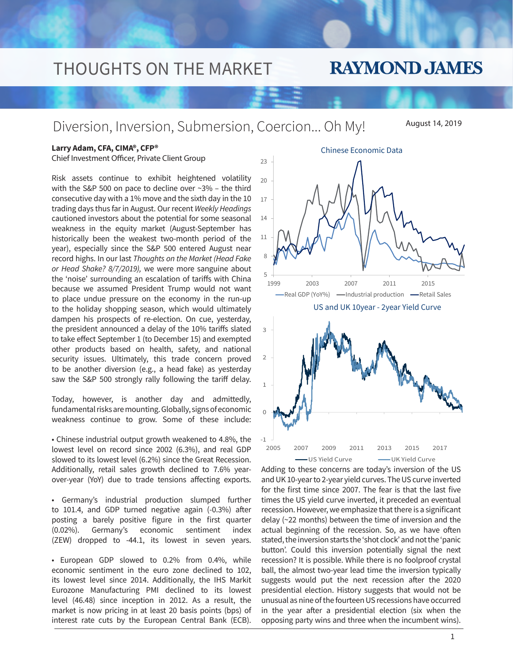# THOUGHTS ON THE MARKET

# **RAYMOND JAMES**

Diversion, Inversion, Submersion, Coercion... Oh My!

August 14, 2019

### **Larry Adam, CFA, CIMA®, CFP®**

Chief Investment Officer, Private Client Group

Risk assets continue to exhibit heightened volatility with the S&P 500 on pace to decline over ~3% – the third consecutive day with a 1% move and the sixth day in the 10 trading days thus far in August. Our recent *Weekly Headings*  cautioned investors about the potential for some seasonal weakness in the equity market (August-September has historically been the weakest two-month period of the year), especially since the S&P 500 entered August near record highs. In our last *Thoughts on the Market (Head Fake or Head Shake? 8/7/2019),* we were more sanguine about the 'noise' surrounding an escalation of tariffs with China because we assumed President Trump would not want to place undue pressure on the economy in the run-up to the holiday shopping season, which would ultimately dampen his prospects of re-election. On cue, yesterday, the president announced a delay of the 10% tariffs slated to take effect September 1 (to December 15) and exempted other products based on health, safety, and national security issues. Ultimately, this trade concern proved to be another diversion (e.g., a head fake) as yesterday saw the S&P 500 strongly rally following the tariff delay.

Today, however, is another day and admittedly, fundamental risks are mounting. Globally, signs of economic weakness continue to grow. Some of these include:

• Chinese industrial output growth weakened to 4.8%, the lowest level on record since 2002 (6.3%), and real GDP slowed to its lowest level (6.2%) since the Great Recession. Additionally, retail sales growth declined to 7.6% yearover-year (YoY) due to trade tensions affecting exports.

• Germany's industrial production slumped further to 101.4, and GDP turned negative again (-0.3%) after posting a barely positive figure in the first quarter (0.02%). Germany's economic sentiment index (ZEW) dropped to -44.1, its lowest in seven years.

• European GDP slowed to 0.2% from 0.4%, while economic sentiment in the euro zone declined to 102, its lowest level since 2014. Additionally, the IHS Markit Eurozone Manufacturing PMI declined to its lowest level (46.48) since inception in 2012. As a result, the market is now pricing in at least 20 basis points (bps) of interest rate cuts by the European Central Bank (ECB).



Adding to these concerns are today's inversion of the US -1 2005 2007 2009 2011 2013 2015 2017 -US Yield Curve - - UK Yield Curve

and UK 10-year to 2-year yield curves. The US curve inverted for the first time since 2007. The fear is that the last five times the US yield curve inverted, it preceded an eventual recession. However, we emphasize that there is a significant delay (~22 months) between the time of inversion and the actual beginning of the recession. So, as we have often stated, the inversion starts the 'shot clock' and not the 'panic button'. Could this inversion potentially signal the next recession? It is possible. While there is no foolproof crystal ball, the almost two-year lead time the inversion typically suggests would put the next recession after the 2020 presidential election. History suggests that would not be unusual as nine of the fourteen US recessions have occurred in the year after a presidential election (six when the opposing party wins and three when the incumbent wins).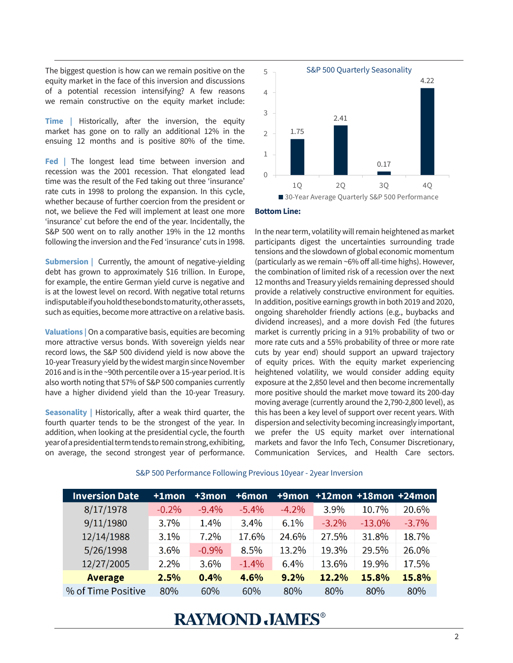The biggest question is how can we remain positive on the equity market in the face of this inversion and discussions of a potential recession intensifying? A few reasons we remain constructive on the equity market include:

**Time** | Historically, after the inversion, the equity market has gone on to rally an additional 12% in the ensuing 12 months and is positive 80% of the time.

**Fed |** The longest lead time between inversion and recession was the 2001 recession. That elongated lead time was the result of the Fed taking out three 'insurance' rate cuts in 1998 to prolong the expansion. In this cycle, whether because of further coercion from the president or not, we believe the Fed will implement at least one more 'insurance' cut before the end of the year. Incidentally, the S&P 500 went on to rally another 19% in the 12 months following the inversion and the Fed 'insurance' cuts in 1998.

**Submersion** | Currently, the amount of negative-yielding debt has grown to approximately \$16 trillion. In Europe, for example, the entire German yield curve is negative and is at the lowest level on record. With negative total returns indisputable if you hold these bonds to maturity, other assets, such as equities, become more attractive on a relative basis.

**Valuations |** On a comparative basis, equities are becoming more attractive versus bonds. With sovereign yields near record lows, the S&P 500 dividend yield is now above the 10-year Treasury yield by the widest margin since November 2016 and is in the ~90th percentile over a 15-year period. It is also worth noting that 57% of S&P 500 companies currently have a higher dividend yield than the 10-year Treasury.

**Seasonality |** Historically, after a weak third quarter, the fourth quarter tends to be the strongest of the year. In addition, when looking at the presidential cycle, the fourth year of a presidential term tends to remain strong, exhibiting, on average, the second strongest year of performance.



#### **Bottom Line:**

In the near term, volatility will remain heightened as market participants digest the uncertainties surrounding trade tensions and the slowdown of global economic momentum (particularly as we remain ~6% off all-time highs). However, the combination of limited risk of a recession over the next 12 months and Treasury yields remaining depressed should provide a relatively constructive environment for equities. In addition, positive earnings growth in both 2019 and 2020, ongoing shareholder friendly actions (e.g., buybacks and dividend increases), and a more dovish Fed (the futures market is currently pricing in a 91% probability of two or more rate cuts and a 55% probability of three or more rate cuts by year end) should support an upward trajectory of equity prices. With the equity market experiencing heightened volatility, we would consider adding equity exposure at the 2,850 level and then become incrementally more positive should the market move toward its 200-day moving average (currently around the 2,790-2,800 level), as this has been a key level of support over recent years. With dispersion and selectivity becoming increasingly important, we prefer the US equity market over international markets and favor the Info Tech, Consumer Discretionary, Communication Services, and Health Care sectors.

| <b>Inversion Date</b> | $+1$ mon | $+3$ mon | $+6$ mon | +9mon    |          |           | $+12$ mon +18mon +24mon |
|-----------------------|----------|----------|----------|----------|----------|-----------|-------------------------|
| 8/17/1978             | $-0.2%$  | $-9.4%$  | $-5.4%$  | $-4.2\%$ | 3.9%     | 10.7%     | 20.6%                   |
| 9/11/1980             | 3.7%     | 1.4%     | 3.4%     | 6.1%     | $-3.2\%$ | $-13.0\%$ | $-3.7%$                 |
| 12/14/1988            | 3.1%     | 7.2%     | 17.6%    | 24.6%    | 27.5%    | 31.8%     | 18.7%                   |
| 5/26/1998             | 3.6%     | $-0.9%$  | 8.5%     | 13.2%    | 19.3%    | 29.5%     | 26.0%                   |
| 12/27/2005            | 2.2%     | 3.6%     | $-1.4%$  | 6.4%     | 13.6%    | 19.9%     | 17.5%                   |
| <b>Average</b>        | 2.5%     | 0.4%     | 4.6%     | 9.2%     | 12.2%    | 15.8%     | 15.8%                   |
| % of Time Positive    | 80%      | 60%      | 60%      | 80%      | 80%      | 80%       | 80%                     |

#### S&P 500 Performance Following Previous 10year - 2year Inversion

### **RAYMOND JAMES®**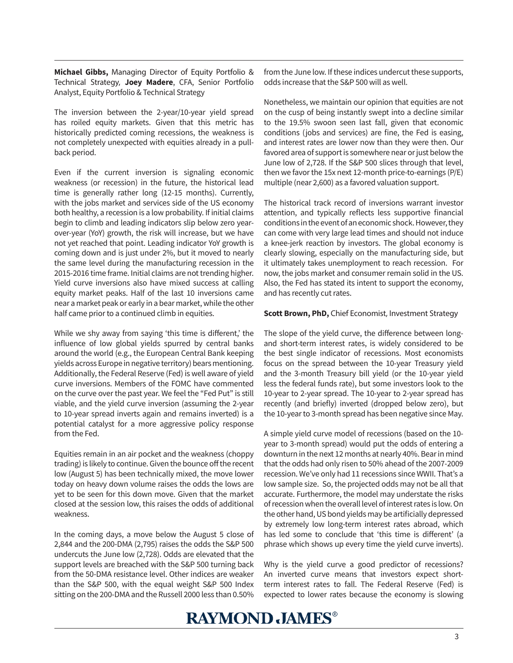**Michael Gibbs,** Managing Director of Equity Portfolio & Technical Strategy, **Joey Madere**, CFA, Senior Portfolio Analyst, Equity Portfolio & Technical Strategy

The inversion between the 2-year/10-year yield spread has roiled equity markets. Given that this metric has historically predicted coming recessions, the weakness is not completely unexpected with equities already in a pullback period.

Even if the current inversion is signaling economic weakness (or recession) in the future, the historical lead time is generally rather long (12-15 months). Currently, with the jobs market and services side of the US economy both healthy, a recession is a low probability. If initial claims begin to climb and leading indicators slip below zero yearover-year (YoY) growth, the risk will increase, but we have not yet reached that point. Leading indicator YoY growth is coming down and is just under 2%, but it moved to nearly the same level during the manufacturing recession in the 2015-2016 time frame. Initial claims are not trending higher. Yield curve inversions also have mixed success at calling equity market peaks. Half of the last 10 inversions came near a market peak or early in a bear market, while the other half came prior to a continued climb in equities.

While we shy away from saying 'this time is different,' the influence of low global yields spurred by central banks around the world (e.g., the European Central Bank keeping yields across Europe in negative territory) bears mentioning. Additionally, the Federal Reserve (Fed) is well aware of yield curve inversions. Members of the FOMC have commented on the curve over the past year. We feel the "Fed Put" is still viable, and the yield curve inversion (assuming the 2-year to 10-year spread inverts again and remains inverted) is a potential catalyst for a more aggressive policy response from the Fed.

Equities remain in an air pocket and the weakness (choppy trading) is likely to continue. Given the bounce off the recent low (August 5) has been technically mixed, the move lower today on heavy down volume raises the odds the lows are yet to be seen for this down move. Given that the market closed at the session low, this raises the odds of additional weakness.

In the coming days, a move below the August 5 close of 2,844 and the 200-DMA (2,795) raises the odds the S&P 500 undercuts the June low (2,728). Odds are elevated that the support levels are breached with the S&P 500 turning back from the 50-DMA resistance level. Other indices are weaker than the S&P 500, with the equal weight S&P 500 Index sitting on the 200-DMA and the Russell 2000 less than 0.50%

from the June low. If these indices undercut these supports, odds increase that the S&P 500 will as well.

Nonetheless, we maintain our opinion that equities are not on the cusp of being instantly swept into a decline similar to the 19.5% swoon seen last fall, given that economic conditions (jobs and services) are fine, the Fed is easing, and interest rates are lower now than they were then. Our favored area of support is somewhere near or just below the June low of 2,728. If the S&P 500 slices through that level, then we favor the 15x next 12-month price-to-earnings (P/E) multiple (near 2,600) as a favored valuation support.

The historical track record of inversions warrant investor attention, and typically reflects less supportive financial conditions in the event of an economic shock. However, they can come with very large lead times and should not induce a knee-jerk reaction by investors. The global economy is clearly slowing, especially on the manufacturing side, but it ultimately takes unemployment to reach recession. For now, the jobs market and consumer remain solid in the US. Also, the Fed has stated its intent to support the economy, and has recently cut rates.

#### **Scott Brown, PhD,** Chief Economist, Investment Strategy

The slope of the yield curve, the difference between longand short-term interest rates, is widely considered to be the best single indicator of recessions. Most economists focus on the spread between the 10-year Treasury yield and the 3-month Treasury bill yield (or the 10-year yield less the federal funds rate), but some investors look to the 10-year to 2-year spread. The 10-year to 2-year spread has recently (and briefly) inverted (dropped below zero), but the 10-year to 3-month spread has been negative since May.

A simple yield curve model of recessions (based on the 10 year to 3-month spread) would put the odds of entering a downturn in the next 12 months at nearly 40%. Bear in mind that the odds had only risen to 50% ahead of the 2007-2009 recession. We've only had 11 recessions since WWII. That's a low sample size. So, the projected odds may not be all that accurate. Furthermore, the model may understate the risks of recession when the overall level of interest rates is low. On the other hand, US bond yields may be artificially depressed by extremely low long-term interest rates abroad, which has led some to conclude that 'this time is different' (a phrase which shows up every time the yield curve inverts).

Why is the yield curve a good predictor of recessions? An inverted curve means that investors expect shortterm interest rates to fall. The Federal Reserve (Fed) is expected to lower rates because the economy is slowing

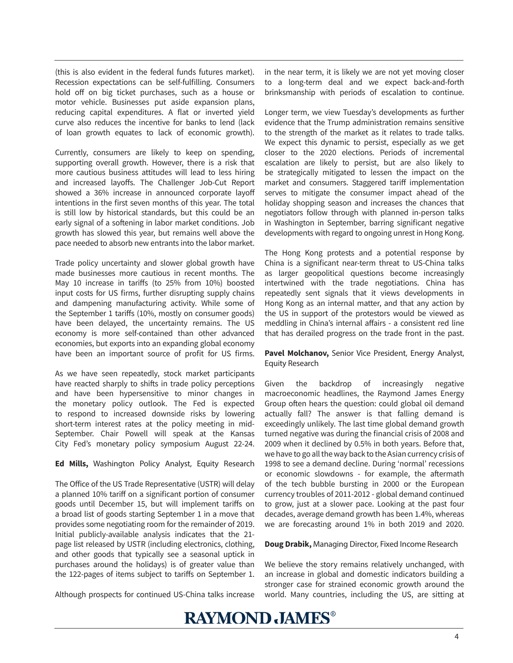(this is also evident in the federal funds futures market). Recession expectations can be self-fulfilling. Consumers hold off on big ticket purchases, such as a house or motor vehicle. Businesses put aside expansion plans, reducing capital expenditures. A flat or inverted yield curve also reduces the incentive for banks to lend (lack of loan growth equates to lack of economic growth).

Currently, consumers are likely to keep on spending, supporting overall growth. However, there is a risk that more cautious business attitudes will lead to less hiring and increased layoffs. The Challenger Job-Cut Report showed a 36% increase in announced corporate layoff intentions in the first seven months of this year. The total is still low by historical standards, but this could be an early signal of a softening in labor market conditions. Job growth has slowed this year, but remains well above the pace needed to absorb new entrants into the labor market.

Trade policy uncertainty and slower global growth have made businesses more cautious in recent months. The May 10 increase in tariffs (to 25% from 10%) boosted input costs for US firms, further disrupting supply chains and dampening manufacturing activity. While some of the September 1 tariffs (10%, mostly on consumer goods) have been delayed, the uncertainty remains. The US economy is more self-contained than other advanced economies, but exports into an expanding global economy have been an important source of profit for US firms.

As we have seen repeatedly, stock market participants have reacted sharply to shifts in trade policy perceptions and have been hypersensitive to minor changes in the monetary policy outlook. The Fed is expected to respond to increased downside risks by lowering short-term interest rates at the policy meeting in mid-September. Chair Powell will speak at the Kansas City Fed's monetary policy symposium August 22-24.

**Ed Mills,** Washington Policy Analyst, Equity Research

The Office of the US Trade Representative (USTR) will delay a planned 10% tariff on a significant portion of consumer goods until December 15, but will implement tariffs on a broad list of goods starting September 1 in a move that provides some negotiating room for the remainder of 2019. Initial publicly-available analysis indicates that the 21 page list released by USTR (including electronics, clothing, and other goods that typically see a seasonal uptick in purchases around the holidays) is of greater value than the 122-pages of items subject to tariffs on September 1.

Although prospects for continued US-China talks increase

in the near term, it is likely we are not yet moving closer to a long-term deal and we expect back-and-forth brinksmanship with periods of escalation to continue.

Longer term, we view Tuesday's developments as further evidence that the Trump administration remains sensitive to the strength of the market as it relates to trade talks. We expect this dynamic to persist, especially as we get closer to the 2020 elections. Periods of incremental escalation are likely to persist, but are also likely to be strategically mitigated to lessen the impact on the market and consumers. Staggered tariff implementation serves to mitigate the consumer impact ahead of the holiday shopping season and increases the chances that negotiators follow through with planned in-person talks in Washington in September, barring significant negative developments with regard to ongoing unrest in Hong Kong.

The Hong Kong protests and a potential response by China is a significant near-term threat to US-China talks as larger geopolitical questions become increasingly intertwined with the trade negotiations. China has repeatedly sent signals that it views developments in Hong Kong as an internal matter, and that any action by the US in support of the protestors would be viewed as meddling in China's internal affairs - a consistent red line that has derailed progress on the trade front in the past.

**Pavel Molchanov,** Senior Vice President, Energy Analyst, Equity Research

Given the backdrop of increasingly negative macroeconomic headlines, the Raymond James Energy Group often hears the question: could global oil demand actually fall? The answer is that falling demand is exceedingly unlikely. The last time global demand growth turned negative was during the financial crisis of 2008 and 2009 when it declined by 0.5% in both years. Before that, we have to go all the way back to the Asian currency crisis of 1998 to see a demand decline. During 'normal' recessions or economic slowdowns - for example, the aftermath of the tech bubble bursting in 2000 or the European currency troubles of 2011-2012 - global demand continued to grow, just at a slower pace. Looking at the past four decades, average demand growth has been 1.4%, whereas we are forecasting around 1% in both 2019 and 2020.

### **Doug Drabik,** Managing Director, Fixed Income Research

We believe the story remains relatively unchanged, with an increase in global and domestic indicators building a stronger case for strained economic growth around the world. Many countries, including the US, are sitting at

### **RAYMOND JAMES®**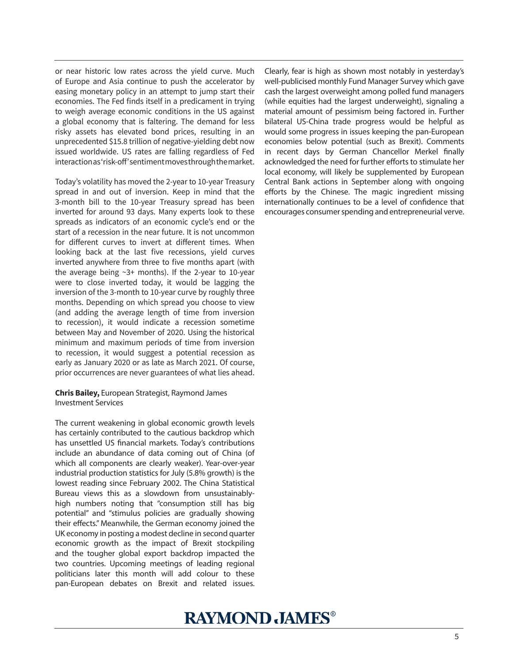or near historic low rates across the yield curve. Much of Europe and Asia continue to push the accelerator by easing monetary policy in an attempt to jump start their economies. The Fed finds itself in a predicament in trying to weigh average economic conditions in the US against a global economy that is faltering. The demand for less risky assets has elevated bond prices, resulting in an unprecedented \$15.8 trillion of negative-yielding debt now issued worldwide. US rates are falling regardless of Fed interaction as 'risk-off' sentiment moves through the market.

Today's volatility has moved the 2-year to 10-year Treasury spread in and out of inversion. Keep in mind that the 3-month bill to the 10-year Treasury spread has been inverted for around 93 days. Many experts look to these spreads as indicators of an economic cycle's end or the start of a recession in the near future. It is not uncommon for different curves to invert at different times. When looking back at the last five recessions, yield curves inverted anywhere from three to five months apart (with the average being ~3+ months). If the 2-year to 10-year were to close inverted today, it would be lagging the inversion of the 3-month to 10-year curve by roughly three months. Depending on which spread you choose to view (and adding the average length of time from inversion to recession), it would indicate a recession sometime between May and November of 2020. Using the historical minimum and maximum periods of time from inversion to recession, it would suggest a potential recession as early as January 2020 or as late as March 2021. Of course, prior occurrences are never guarantees of what lies ahead.

#### **Chris Bailey,** European Strategist, Raymond James Investment Services

The current weakening in global economic growth levels has certainly contributed to the cautious backdrop which has unsettled US financial markets. Today's contributions include an abundance of data coming out of China (of which all components are clearly weaker). Year-over-year industrial production statistics for July (5.8% growth) is the lowest reading since February 2002. The China Statistical Bureau views this as a slowdown from unsustainablyhigh numbers noting that "consumption still has big potential" and "stimulus policies are gradually showing their effects." Meanwhile, the German economy joined the UK economy in posting a modest decline in second quarter economic growth as the impact of Brexit stockpiling and the tougher global export backdrop impacted the two countries. Upcoming meetings of leading regional politicians later this month will add colour to these pan-European debates on Brexit and related issues.

Clearly, fear is high as shown most notably in yesterday's well-publicised monthly Fund Manager Survey which gave cash the largest overweight among polled fund managers (while equities had the largest underweight), signaling a material amount of pessimism being factored in. Further bilateral US-China trade progress would be helpful as would some progress in issues keeping the pan-European economies below potential (such as Brexit). Comments in recent days by German Chancellor Merkel finally acknowledged the need for further efforts to stimulate her local economy, will likely be supplemented by European Central Bank actions in September along with ongoing efforts by the Chinese. The magic ingredient missing internationally continues to be a level of confidence that encourages consumer spending and entrepreneurial verve.

## **RAYMOND JAMES®**